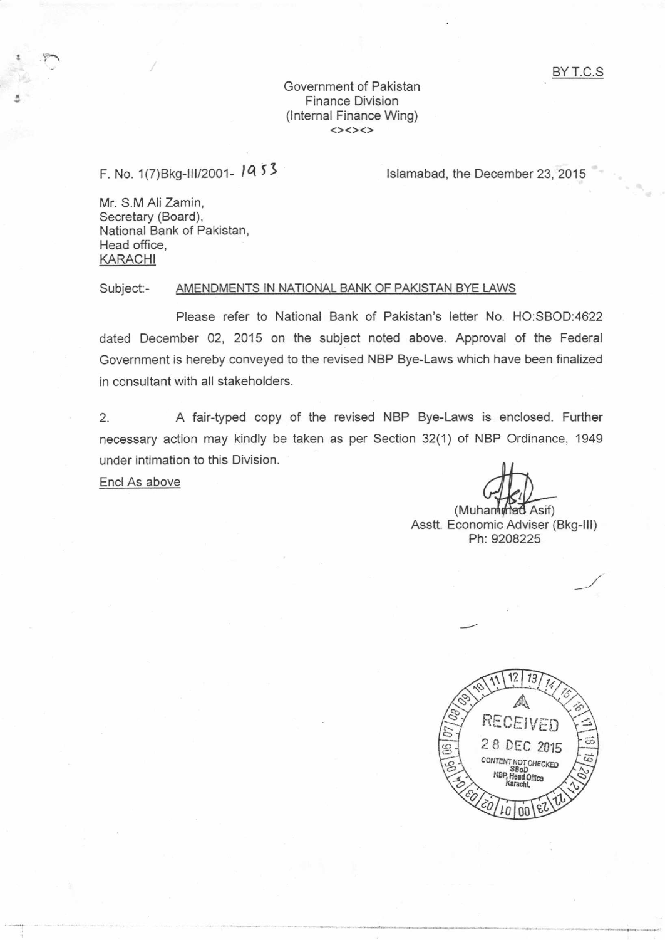## Government of Pakistan Finance Division (lnternal Finance Wing)

## F. No. 1(7) Bkg-III/2001 - 14 53

lslamabad, the December 23, 2015

Mr. S.M Ali Zamin, Secretary (Board), National Bank of Pakistan. Head office, KARACHI

## Subject:- AMENDMENTS IN NATIONAL BANK OF PAKISTAN BYE LAWS

Please refer to National Bank of Pakistan's letter No. HO:SBOD:4622 dated December Q2, 2015 on the subject noted above. Approval of the Federal Government is hereby conveyed to the revised NBP Bye-Laws which have been finalized in consultant with all stakeholders.

2. A fair-typed copy of the revised NBP Bye-Laws is enclosed. Further necessary aciion may kindly be taken as per Section 32(1) of NBP Ordinance, 1949 under intimation to this Division.

Encl As above

(Muhammad Asif)<br>Asstt. Economic Adviser (Bkg-lll) Ph:9208225

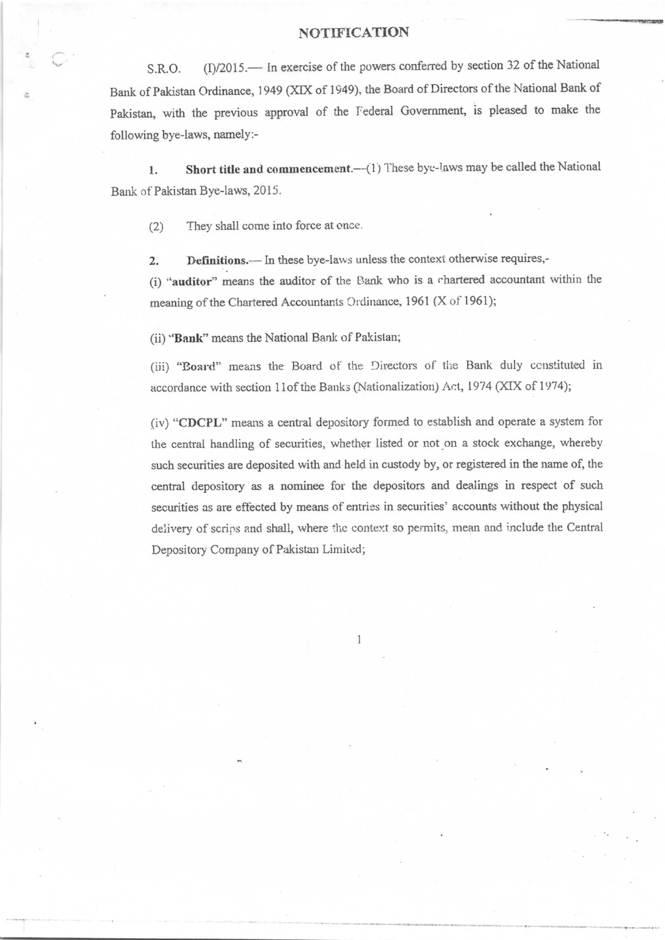## NOTIFICATION

S.R.O. (I)/2015.— In exercise of the powers conferred by section 32 of the National Bank of Pakistan Ordinance, 1949 (XIX of 1949), the Board of Directors of the National Bank of Pakistan, with the previous approval of the Federal Government, is pleased to make the following bye-laws, namelY :-

1. Short title and commencement.--(1) These bye-laws may be called the National Bank of Pakistan Bye-laws, 2015.

(2) They shall come into force at once.

2. Definitions.— In these bye-laws unless the context otherwise requires,-

(i) "auditor" means the auditor of the Bank who is a chartered accountant within the meaning of the Chartered Accountants Ordinance, 1961 (X of 1961);

(ii) "Bank" means the National Bank of Pakistan;

(iii) "Board" means the Board of the Directors of the Bank duly constituted in accordance with section 11of the Banks (Nationalization) Act, 1974 (XIX of 1974);

(iv) "CDCPL" means a central depository formed to establish and operate a system for the cental handling of securities, whether listed or not.on a stock exchange, whereby such securities are deposited with and held in custody by, or registered in the name of, the central depository as a nominee for the depositors and dealings in respect of such securities as are effected by means of entries in securities' accounts without the physical delivery of scrips and shall, where the context so permits, mean and include the Central Depository Company of Pakistan Limited;

1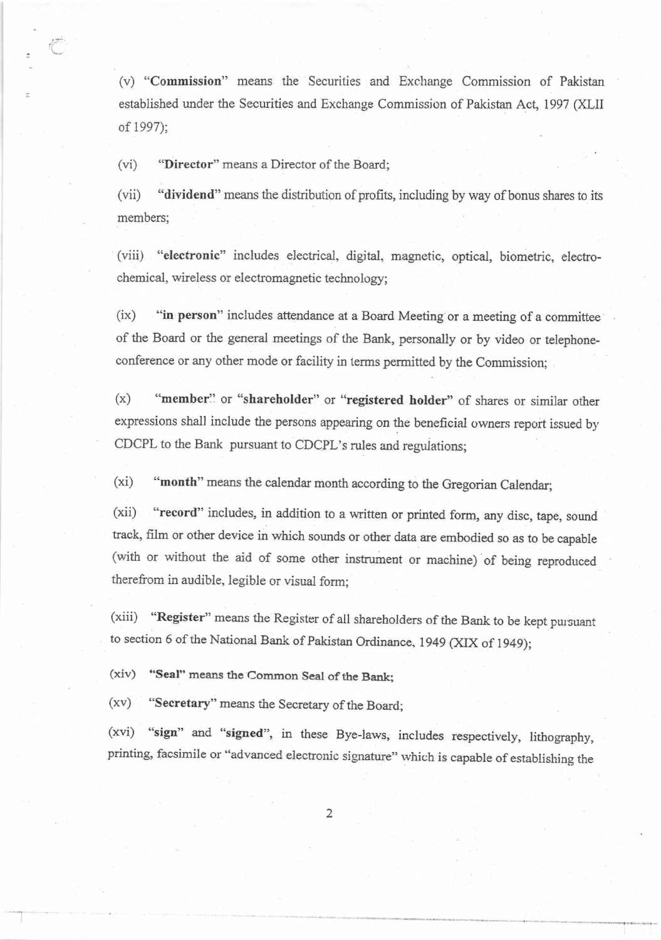(v) "Commission" means the Securities and Exchange Commission of Pakistan established under the Securities and Exchange Commission of Pakistan Act, 1997 (XLII of 1997);

(vi) "Director" means a Director of the Board;

(vii) "dividend" means the distribution of profits, including by way of bonus shares to its members;

(viii) "electronic" includes electrical. digital, magnetic, optical, biometric, electrochemical, wireless or electromagnetic technology;

(ix) "in person" includes attendance at a Board Meeting or a meeting of a committee of the Board or the general meetings of the Bank, personally or by video or telephoneconference or any other mode or facility in terms permitted by the Commission;

(x) "member" or "shareholder" or "registered holder" of shares or similar other expressions shall include the persons appearing on the beneficial owners report issued by CDCPL to the Bank pursuant to CDCPL's rules and regulations;

(xi) "month" means the calendar month according to the Gregorian Calendar;

(xii) "record" includes, in addition to a written or printed form, any disc, tape, sound track, fiim or other device in which sounds or other data are embodied so as to be capable (with or without the aid of some other instrument or machine) of being reproduced therefrom in audible, legibie or visual form;

(xiii) "Register" means the Register of all shareholders of the Bank to be kept pursuant to section 6 of the National Bank of pakistan Ordinance. 1949 (XIX of 1949);

(xiv) "Seal" means the Common Seal of the Bank:

(xv) "Secretary" means the Secretary of the Board;

(xvi) "sign" and "signed", in these Bye-laws, includes respectively, lithography, printing, facsimile or "advanced electronic signature" which is capable of establishing the

 $\overline{2}$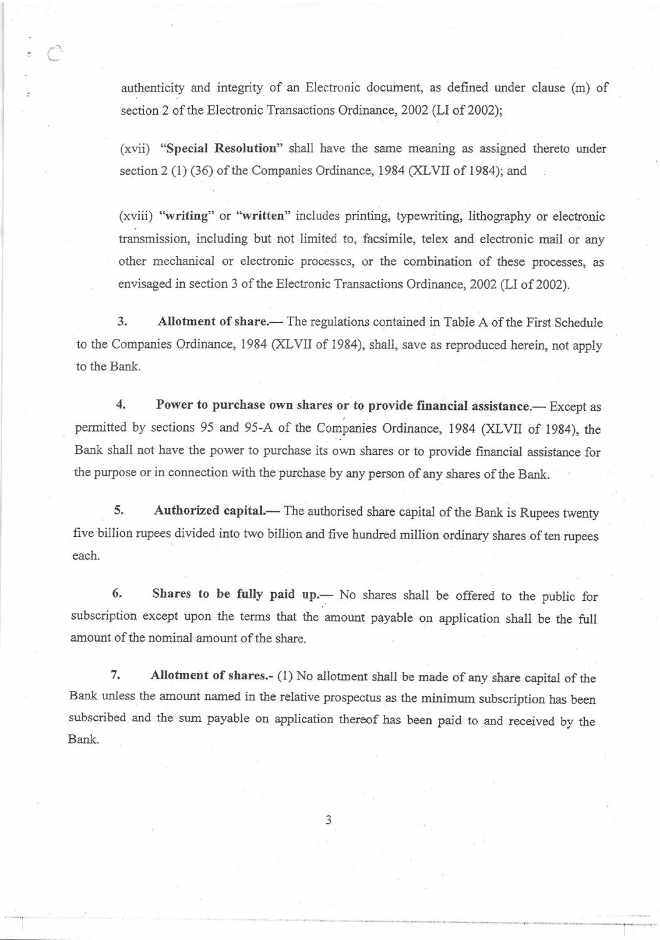authenticity and integrity of an Electronic docuinent, as defined under clause (m) of section 2 of the Electronic Transactions Ordinance, 2002 (LI of 2002);

:

(xvii) "Special Resolution" shall have the same meaning as assigned thereto under section 2 (1) (36) of the Companies Ordinance, 1984 (XLVII of 1984); and

(xviii) "writing" or "written" includes printing, typewriting, lithography or electronic transmission, including but not limited to, facsimile, telex and electronic mail or any other mechanical or electronic processes, or the combination of these processes, as envisaged in section 3 of the Electronic Transactions Ordinance, 2002 (LI of 2002).

3. Allotment of share.— The regulations contained in Table A of the First Schedule to the Companies Ordinance, 1984 (XLVII of 1984), shall, save as reproduced herein, not apply to the Bank.

4. Power to purchase own shares or to provide financial assistance.— Except as permitted by sections 95 and 95-A of the Companies Ordinance, 1984 (XLVII of 1984), the Bank shall not have the power to purchase its own shares or to provide financial assistance for the purpose or in connection with the purchase by any person of any shares of the Bank.

5. Authorized capital.— The authorised share capital of the Bank is Rupees twenty five billion rupees divided into two billion and five hundred million ordinary shares of ten rupees each.

6. Shares to be fully paid up. No shares shall be offered to the public for subscription except upon the terms that the amount payable on application shall be the full amount of the nominal amount of the share.

7. Allotment of shares.- (1) No allotment shall be made of any share capital of the Bank unless the amount named in the relative prospectus as the minimum subscription has been subscribed and the sum payable on application thereof has been paid to and received by the Bank.

3